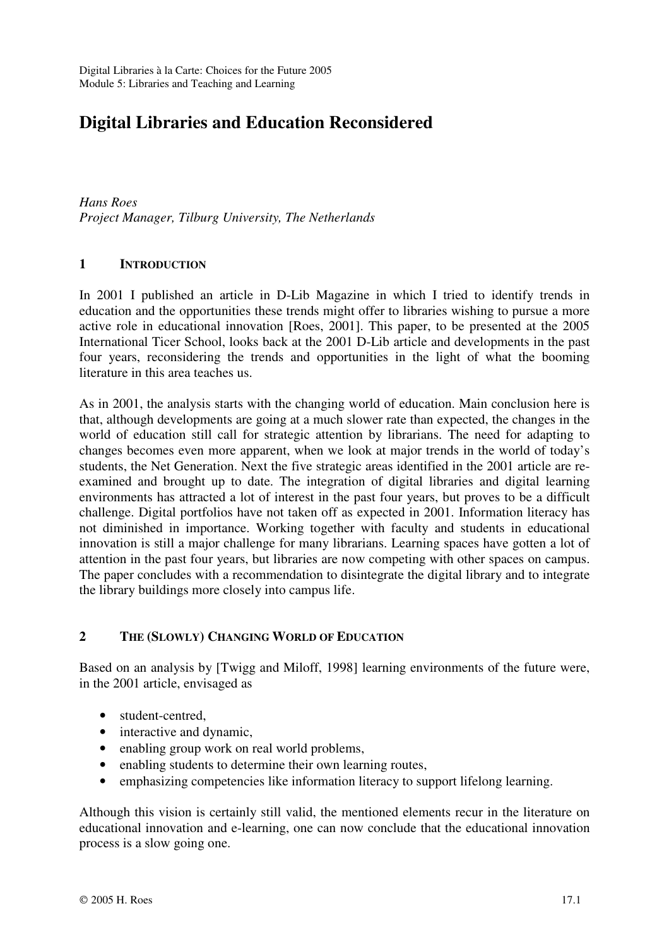# **Digital Libraries and Education Reconsidered**

*Hans Roes Project Manager, Tilburg University, The Netherlands* 

### **1 INTRODUCTION**

In 2001 I published an article in D-Lib Magazine in which I tried to identify trends in education and the opportunities these trends might offer to libraries wishing to pursue a more active role in educational innovation [Roes, 2001]. This paper, to be presented at the 2005 International Ticer School, looks back at the 2001 D-Lib article and developments in the past four years, reconsidering the trends and opportunities in the light of what the booming literature in this area teaches us.

As in 2001, the analysis starts with the changing world of education. Main conclusion here is that, although developments are going at a much slower rate than expected, the changes in the world of education still call for strategic attention by librarians. The need for adapting to changes becomes even more apparent, when we look at major trends in the world of today's students, the Net Generation. Next the five strategic areas identified in the 2001 article are reexamined and brought up to date. The integration of digital libraries and digital learning environments has attracted a lot of interest in the past four years, but proves to be a difficult challenge. Digital portfolios have not taken off as expected in 2001. Information literacy has not diminished in importance. Working together with faculty and students in educational innovation is still a major challenge for many librarians. Learning spaces have gotten a lot of attention in the past four years, but libraries are now competing with other spaces on campus. The paper concludes with a recommendation to disintegrate the digital library and to integrate the library buildings more closely into campus life.

# **2 THE (SLOWLY) CHANGING WORLD OF EDUCATION**

Based on an analysis by [Twigg and Miloff, 1998] learning environments of the future were, in the 2001 article, envisaged as

- student-centred,
- interactive and dynamic,
- enabling group work on real world problems,
- enabling students to determine their own learning routes,
- emphasizing competencies like information literacy to support lifelong learning.

Although this vision is certainly still valid, the mentioned elements recur in the literature on educational innovation and e-learning, one can now conclude that the educational innovation process is a slow going one.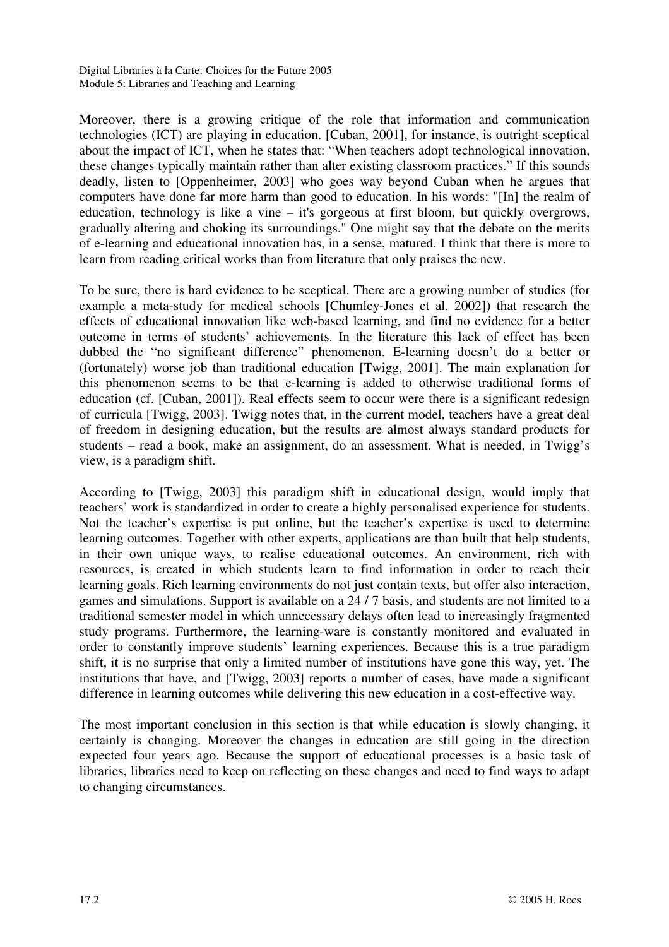Moreover, there is a growing critique of the role that information and communication technologies (ICT) are playing in education. [Cuban, 2001], for instance, is outright sceptical about the impact of ICT, when he states that: "When teachers adopt technological innovation, these changes typically maintain rather than alter existing classroom practices." If this sounds deadly, listen to [Oppenheimer, 2003] who goes way beyond Cuban when he argues that computers have done far more harm than good to education. In his words: "[In] the realm of education, technology is like a vine – it's gorgeous at first bloom, but quickly overgrows, gradually altering and choking its surroundings." One might say that the debate on the merits of e-learning and educational innovation has, in a sense, matured. I think that there is more to learn from reading critical works than from literature that only praises the new.

To be sure, there is hard evidence to be sceptical. There are a growing number of studies (for example a meta-study for medical schools [Chumley-Jones et al. 2002]) that research the effects of educational innovation like web-based learning, and find no evidence for a better outcome in terms of students' achievements. In the literature this lack of effect has been dubbed the "no significant difference" phenomenon. E-learning doesn't do a better or (fortunately) worse job than traditional education [Twigg, 2001]. The main explanation for this phenomenon seems to be that e-learning is added to otherwise traditional forms of education (cf. [Cuban, 2001]). Real effects seem to occur were there is a significant redesign of curricula [Twigg, 2003]. Twigg notes that, in the current model, teachers have a great deal of freedom in designing education, but the results are almost always standard products for students – read a book, make an assignment, do an assessment. What is needed, in Twigg's view, is a paradigm shift.

According to [Twigg, 2003] this paradigm shift in educational design, would imply that teachers' work is standardized in order to create a highly personalised experience for students. Not the teacher's expertise is put online, but the teacher's expertise is used to determine learning outcomes. Together with other experts, applications are than built that help students, in their own unique ways, to realise educational outcomes. An environment, rich with resources, is created in which students learn to find information in order to reach their learning goals. Rich learning environments do not just contain texts, but offer also interaction, games and simulations. Support is available on a 24 / 7 basis, and students are not limited to a traditional semester model in which unnecessary delays often lead to increasingly fragmented study programs. Furthermore, the learning-ware is constantly monitored and evaluated in order to constantly improve students' learning experiences. Because this is a true paradigm shift, it is no surprise that only a limited number of institutions have gone this way, yet. The institutions that have, and [Twigg, 2003] reports a number of cases, have made a significant difference in learning outcomes while delivering this new education in a cost-effective way.

The most important conclusion in this section is that while education is slowly changing, it certainly is changing. Moreover the changes in education are still going in the direction expected four years ago. Because the support of educational processes is a basic task of libraries, libraries need to keep on reflecting on these changes and need to find ways to adapt to changing circumstances.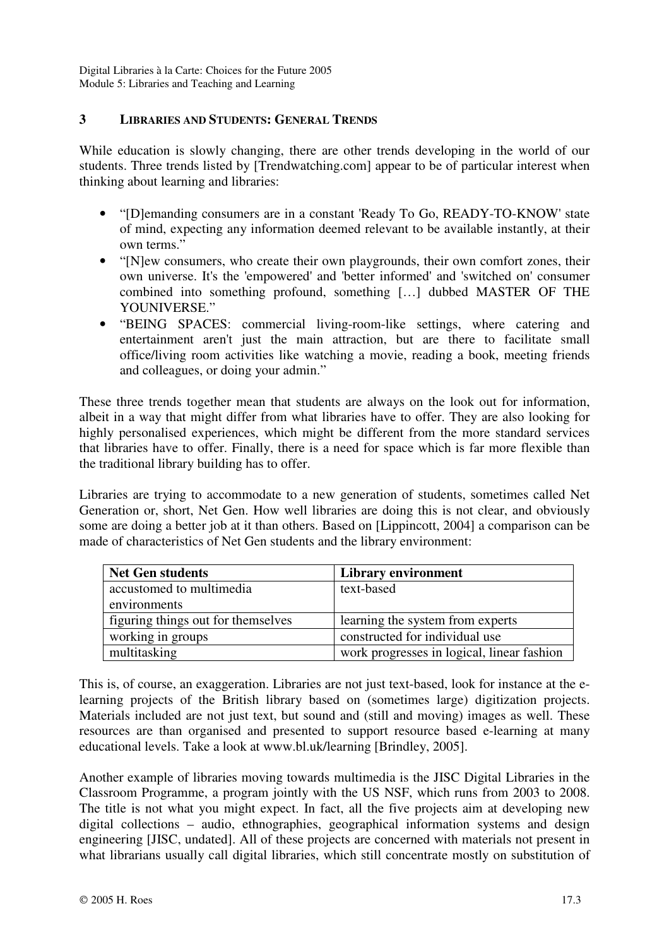### **3 LIBRARIES AND STUDENTS: GENERAL TRENDS**

While education is slowly changing, there are other trends developing in the world of our students. Three trends listed by [Trendwatching.com] appear to be of particular interest when thinking about learning and libraries:

- "[D]emanding consumers are in a constant 'Ready To Go, READY-TO-KNOW' state of mind, expecting any information deemed relevant to be available instantly, at their own terms."
- "[N]ew consumers, who create their own playgrounds, their own comfort zones, their own universe. It's the 'empowered' and 'better informed' and 'switched on' consumer combined into something profound, something […] dubbed MASTER OF THE YOUNIVERSE."
- "BEING SPACES: commercial living-room-like settings, where catering and entertainment aren't just the main attraction, but are there to facilitate small office/living room activities like watching a movie, reading a book, meeting friends and colleagues, or doing your admin."

These three trends together mean that students are always on the look out for information, albeit in a way that might differ from what libraries have to offer. They are also looking for highly personalised experiences, which might be different from the more standard services that libraries have to offer. Finally, there is a need for space which is far more flexible than the traditional library building has to offer.

Libraries are trying to accommodate to a new generation of students, sometimes called Net Generation or, short, Net Gen. How well libraries are doing this is not clear, and obviously some are doing a better job at it than others. Based on [Lippincott, 2004] a comparison can be made of characteristics of Net Gen students and the library environment:

| <b>Net Gen students</b>            | <b>Library environment</b>                 |
|------------------------------------|--------------------------------------------|
| accustomed to multimedia           | text-based                                 |
| environments                       |                                            |
| figuring things out for themselves | learning the system from experts           |
| working in groups                  | constructed for individual use             |
| multitasking                       | work progresses in logical, linear fashion |

This is, of course, an exaggeration. Libraries are not just text-based, look for instance at the elearning projects of the British library based on (sometimes large) digitization projects. Materials included are not just text, but sound and (still and moving) images as well. These resources are than organised and presented to support resource based e-learning at many educational levels. Take a look at www.bl.uk/learning [Brindley, 2005].

Another example of libraries moving towards multimedia is the JISC Digital Libraries in the Classroom Programme, a program jointly with the US NSF, which runs from 2003 to 2008. The title is not what you might expect. In fact, all the five projects aim at developing new digital collections – audio, ethnographies, geographical information systems and design engineering [JISC, undated]. All of these projects are concerned with materials not present in what librarians usually call digital libraries, which still concentrate mostly on substitution of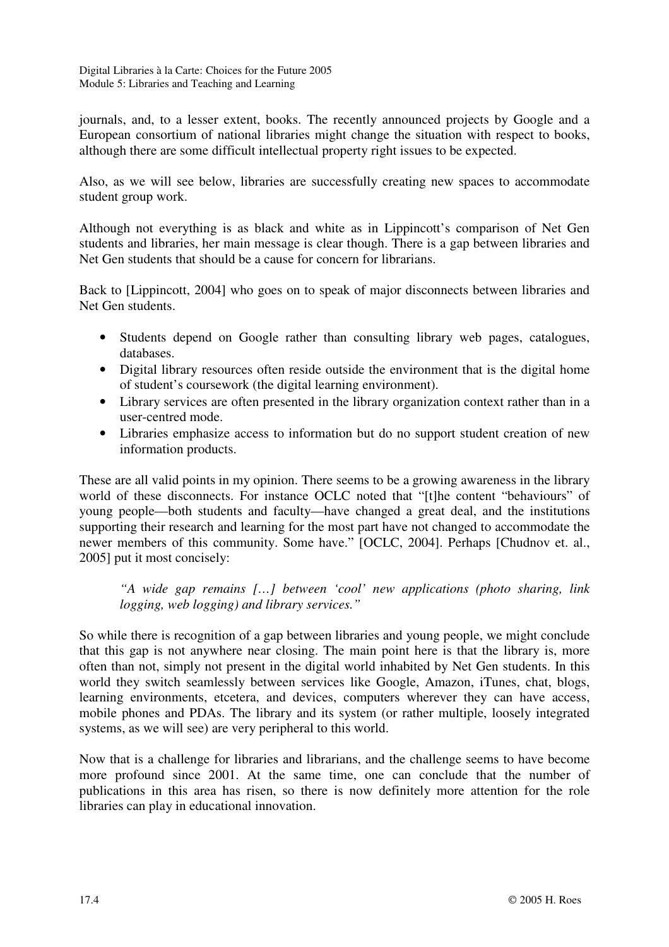journals, and, to a lesser extent, books. The recently announced projects by Google and a European consortium of national libraries might change the situation with respect to books, although there are some difficult intellectual property right issues to be expected.

Also, as we will see below, libraries are successfully creating new spaces to accommodate student group work.

Although not everything is as black and white as in Lippincott's comparison of Net Gen students and libraries, her main message is clear though. There is a gap between libraries and Net Gen students that should be a cause for concern for librarians.

Back to [Lippincott, 2004] who goes on to speak of major disconnects between libraries and Net Gen students.

- Students depend on Google rather than consulting library web pages, catalogues, databases.
- Digital library resources often reside outside the environment that is the digital home of student's coursework (the digital learning environment).
- Library services are often presented in the library organization context rather than in a user-centred mode.
- Libraries emphasize access to information but do no support student creation of new information products.

These are all valid points in my opinion. There seems to be a growing awareness in the library world of these disconnects. For instance OCLC noted that "[t]he content "behaviours" of young people—both students and faculty—have changed a great deal, and the institutions supporting their research and learning for the most part have not changed to accommodate the newer members of this community. Some have." [OCLC, 2004]. Perhaps [Chudnov et. al., 2005] put it most concisely:

*"A wide gap remains […] between 'cool' new applications (photo sharing, link logging, web logging) and library services."* 

So while there is recognition of a gap between libraries and young people, we might conclude that this gap is not anywhere near closing. The main point here is that the library is, more often than not, simply not present in the digital world inhabited by Net Gen students. In this world they switch seamlessly between services like Google, Amazon, iTunes, chat, blogs, learning environments, etcetera, and devices, computers wherever they can have access, mobile phones and PDAs. The library and its system (or rather multiple, loosely integrated systems, as we will see) are very peripheral to this world.

Now that is a challenge for libraries and librarians, and the challenge seems to have become more profound since 2001. At the same time, one can conclude that the number of publications in this area has risen, so there is now definitely more attention for the role libraries can play in educational innovation.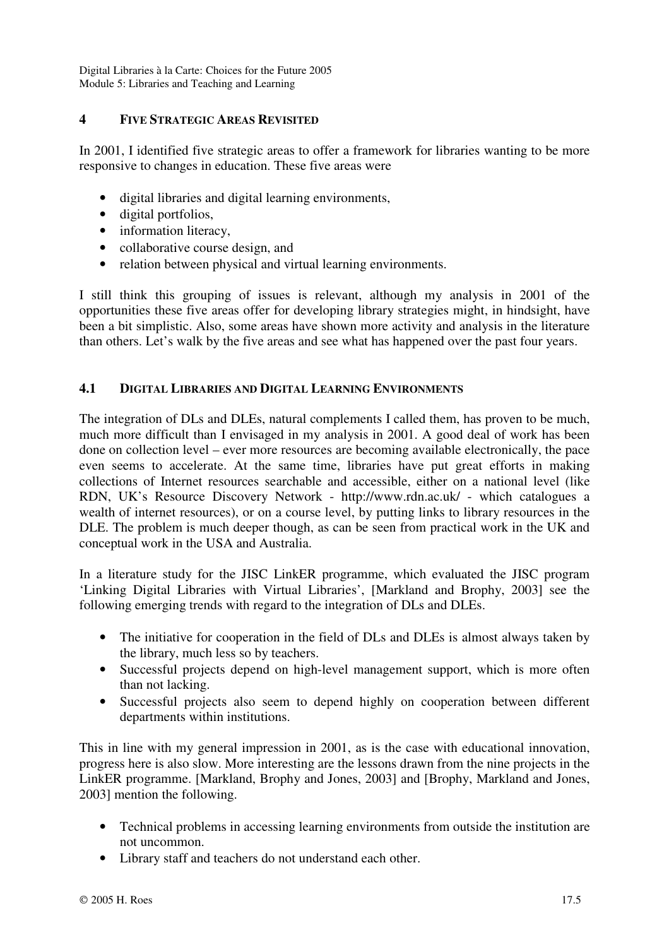### **4 FIVE STRATEGIC AREAS REVISITED**

In 2001, I identified five strategic areas to offer a framework for libraries wanting to be more responsive to changes in education. These five areas were

- digital libraries and digital learning environments,
- digital portfolios,
- information literacy,
- collaborative course design, and
- relation between physical and virtual learning environments.

I still think this grouping of issues is relevant, although my analysis in 2001 of the opportunities these five areas offer for developing library strategies might, in hindsight, have been a bit simplistic. Also, some areas have shown more activity and analysis in the literature than others. Let's walk by the five areas and see what has happened over the past four years.

# **4.1 DIGITAL LIBRARIES AND DIGITAL LEARNING ENVIRONMENTS**

The integration of DLs and DLEs, natural complements I called them, has proven to be much, much more difficult than I envisaged in my analysis in 2001. A good deal of work has been done on collection level – ever more resources are becoming available electronically, the pace even seems to accelerate. At the same time, libraries have put great efforts in making collections of Internet resources searchable and accessible, either on a national level (like RDN, UK's Resource Discovery Network - http://www.rdn.ac.uk/ - which catalogues a wealth of internet resources), or on a course level, by putting links to library resources in the DLE. The problem is much deeper though, as can be seen from practical work in the UK and conceptual work in the USA and Australia.

In a literature study for the JISC LinkER programme, which evaluated the JISC program 'Linking Digital Libraries with Virtual Libraries', [Markland and Brophy, 2003] see the following emerging trends with regard to the integration of DLs and DLEs.

- The initiative for cooperation in the field of DLs and DLEs is almost always taken by the library, much less so by teachers.
- Successful projects depend on high-level management support, which is more often than not lacking.
- Successful projects also seem to depend highly on cooperation between different departments within institutions.

This in line with my general impression in 2001, as is the case with educational innovation, progress here is also slow. More interesting are the lessons drawn from the nine projects in the LinkER programme. [Markland, Brophy and Jones, 2003] and [Brophy, Markland and Jones, 2003] mention the following.

- Technical problems in accessing learning environments from outside the institution are not uncommon.
- Library staff and teachers do not understand each other.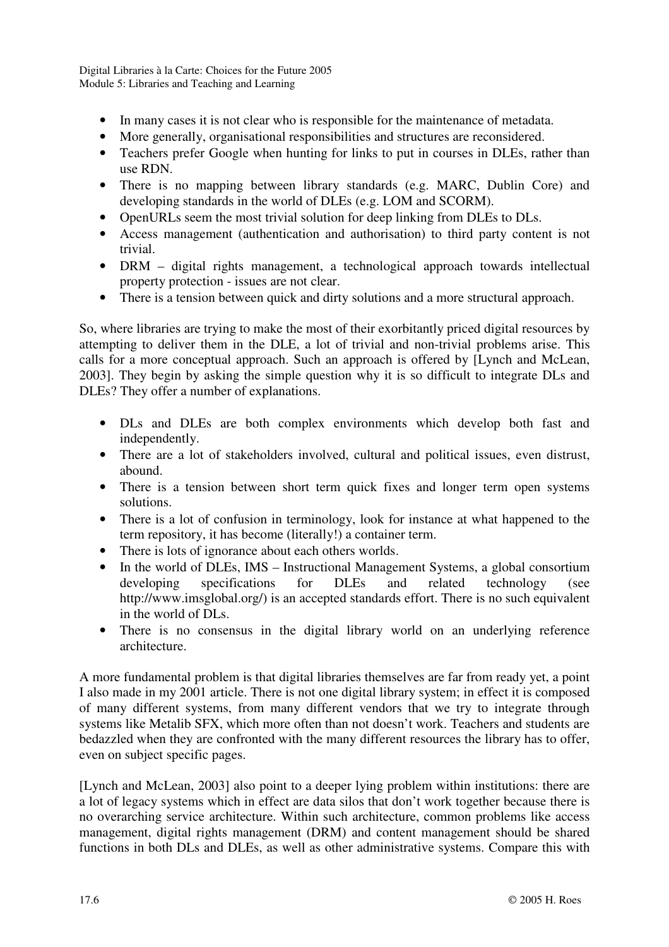- In many cases it is not clear who is responsible for the maintenance of metadata.
- More generally, organisational responsibilities and structures are reconsidered.
- Teachers prefer Google when hunting for links to put in courses in DLEs, rather than use RDN.
- There is no mapping between library standards (e.g. MARC, Dublin Core) and developing standards in the world of DLEs (e.g. LOM and SCORM).
- OpenURLs seem the most trivial solution for deep linking from DLEs to DLs.
- Access management (authentication and authorisation) to third party content is not trivial.
- DRM digital rights management, a technological approach towards intellectual property protection - issues are not clear.
- There is a tension between quick and dirty solutions and a more structural approach.

So, where libraries are trying to make the most of their exorbitantly priced digital resources by attempting to deliver them in the DLE, a lot of trivial and non-trivial problems arise. This calls for a more conceptual approach. Such an approach is offered by [Lynch and McLean, 2003]. They begin by asking the simple question why it is so difficult to integrate DLs and DLEs? They offer a number of explanations.

- DLs and DLEs are both complex environments which develop both fast and independently.
- There are a lot of stakeholders involved, cultural and political issues, even distrust, abound.
- There is a tension between short term quick fixes and longer term open systems solutions.
- There is a lot of confusion in terminology, look for instance at what happened to the term repository, it has become (literally!) a container term.
- There is lots of ignorance about each others worlds.
- In the world of DLEs, IMS Instructional Management Systems, a global consortium developing specifications for DLEs and related technology (see http://www.imsglobal.org/) is an accepted standards effort. There is no such equivalent in the world of DLs.
- There is no consensus in the digital library world on an underlying reference architecture.

A more fundamental problem is that digital libraries themselves are far from ready yet, a point I also made in my 2001 article. There is not one digital library system; in effect it is composed of many different systems, from many different vendors that we try to integrate through systems like Metalib SFX, which more often than not doesn't work. Teachers and students are bedazzled when they are confronted with the many different resources the library has to offer, even on subject specific pages.

[Lynch and McLean, 2003] also point to a deeper lying problem within institutions: there are a lot of legacy systems which in effect are data silos that don't work together because there is no overarching service architecture. Within such architecture, common problems like access management, digital rights management (DRM) and content management should be shared functions in both DLs and DLEs, as well as other administrative systems. Compare this with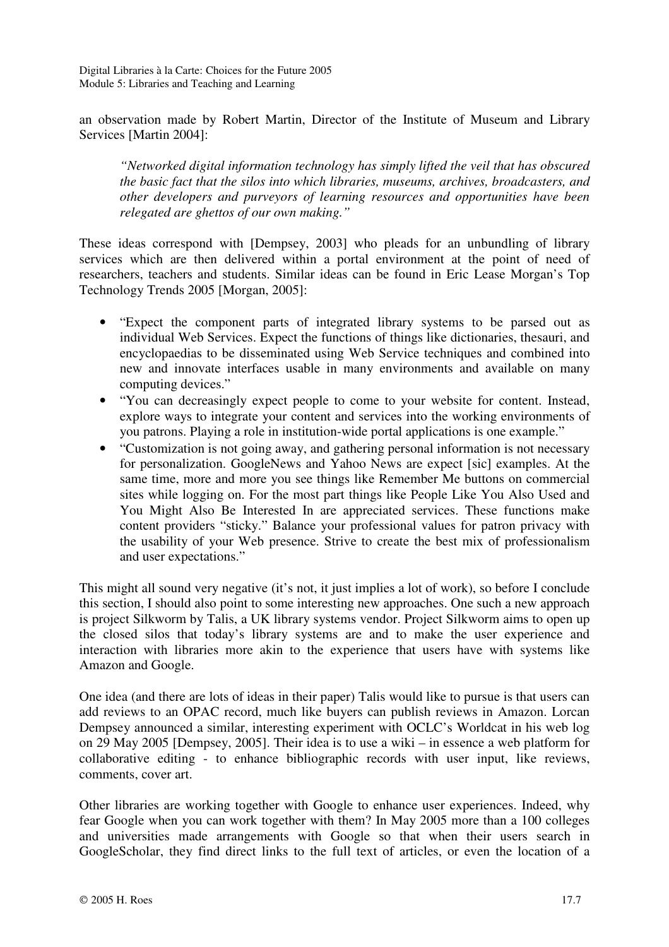an observation made by Robert Martin, Director of the Institute of Museum and Library Services [Martin 2004]:

*"Networked digital information technology has simply lifted the veil that has obscured the basic fact that the silos into which libraries, museums, archives, broadcasters, and other developers and purveyors of learning resources and opportunities have been relegated are ghettos of our own making."* 

These ideas correspond with [Dempsey, 2003] who pleads for an unbundling of library services which are then delivered within a portal environment at the point of need of researchers, teachers and students. Similar ideas can be found in Eric Lease Morgan's Top Technology Trends 2005 [Morgan, 2005]:

- "Expect the component parts of integrated library systems to be parsed out as individual Web Services. Expect the functions of things like dictionaries, thesauri, and encyclopaedias to be disseminated using Web Service techniques and combined into new and innovate interfaces usable in many environments and available on many computing devices."
- "You can decreasingly expect people to come to your website for content. Instead, explore ways to integrate your content and services into the working environments of you patrons. Playing a role in institution-wide portal applications is one example."
- "Customization is not going away, and gathering personal information is not necessary for personalization. GoogleNews and Yahoo News are expect [sic] examples. At the same time, more and more you see things like Remember Me buttons on commercial sites while logging on. For the most part things like People Like You Also Used and You Might Also Be Interested In are appreciated services. These functions make content providers "sticky." Balance your professional values for patron privacy with the usability of your Web presence. Strive to create the best mix of professionalism and user expectations."

This might all sound very negative (it's not, it just implies a lot of work), so before I conclude this section, I should also point to some interesting new approaches. One such a new approach is project Silkworm by Talis, a UK library systems vendor. Project Silkworm aims to open up the closed silos that today's library systems are and to make the user experience and interaction with libraries more akin to the experience that users have with systems like Amazon and Google.

One idea (and there are lots of ideas in their paper) Talis would like to pursue is that users can add reviews to an OPAC record, much like buyers can publish reviews in Amazon. Lorcan Dempsey announced a similar, interesting experiment with OCLC's Worldcat in his web log on 29 May 2005 [Dempsey, 2005]. Their idea is to use a wiki – in essence a web platform for collaborative editing - to enhance bibliographic records with user input, like reviews, comments, cover art.

Other libraries are working together with Google to enhance user experiences. Indeed, why fear Google when you can work together with them? In May 2005 more than a 100 colleges and universities made arrangements with Google so that when their users search in GoogleScholar, they find direct links to the full text of articles, or even the location of a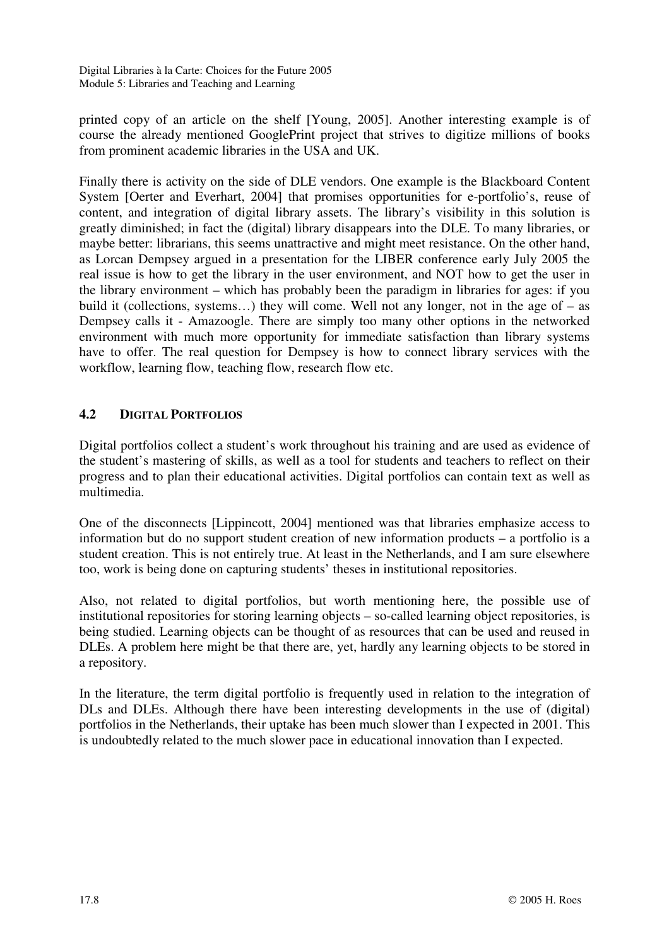printed copy of an article on the shelf [Young, 2005]. Another interesting example is of course the already mentioned GooglePrint project that strives to digitize millions of books from prominent academic libraries in the USA and UK.

Finally there is activity on the side of DLE vendors. One example is the Blackboard Content System [Oerter and Everhart, 2004] that promises opportunities for e-portfolio's, reuse of content, and integration of digital library assets. The library's visibility in this solution is greatly diminished; in fact the (digital) library disappears into the DLE. To many libraries, or maybe better: librarians, this seems unattractive and might meet resistance. On the other hand, as Lorcan Dempsey argued in a presentation for the LIBER conference early July 2005 the real issue is how to get the library in the user environment, and NOT how to get the user in the library environment – which has probably been the paradigm in libraries for ages: if you build it (collections, systems...) they will come. Well not any longer, not in the age of – as Dempsey calls it - Amazoogle. There are simply too many other options in the networked environment with much more opportunity for immediate satisfaction than library systems have to offer. The real question for Dempsey is how to connect library services with the workflow, learning flow, teaching flow, research flow etc.

# **4.2 DIGITAL PORTFOLIOS**

Digital portfolios collect a student's work throughout his training and are used as evidence of the student's mastering of skills, as well as a tool for students and teachers to reflect on their progress and to plan their educational activities. Digital portfolios can contain text as well as multimedia.

One of the disconnects [Lippincott, 2004] mentioned was that libraries emphasize access to information but do no support student creation of new information products – a portfolio is a student creation. This is not entirely true. At least in the Netherlands, and I am sure elsewhere too, work is being done on capturing students' theses in institutional repositories.

Also, not related to digital portfolios, but worth mentioning here, the possible use of institutional repositories for storing learning objects – so-called learning object repositories, is being studied. Learning objects can be thought of as resources that can be used and reused in DLEs. A problem here might be that there are, yet, hardly any learning objects to be stored in a repository.

In the literature, the term digital portfolio is frequently used in relation to the integration of DLs and DLEs. Although there have been interesting developments in the use of (digital) portfolios in the Netherlands, their uptake has been much slower than I expected in 2001. This is undoubtedly related to the much slower pace in educational innovation than I expected.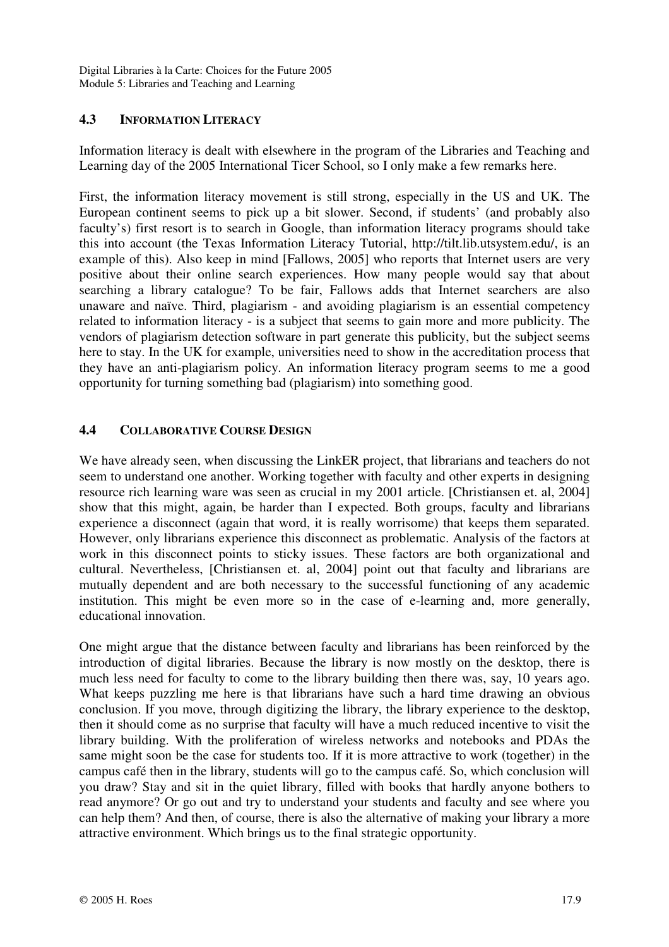# **4.3 INFORMATION LITERACY**

Information literacy is dealt with elsewhere in the program of the Libraries and Teaching and Learning day of the 2005 International Ticer School, so I only make a few remarks here.

First, the information literacy movement is still strong, especially in the US and UK. The European continent seems to pick up a bit slower. Second, if students' (and probably also faculty's) first resort is to search in Google, than information literacy programs should take this into account (the Texas Information Literacy Tutorial, http://tilt.lib.utsystem.edu/, is an example of this). Also keep in mind [Fallows, 2005] who reports that Internet users are very positive about their online search experiences. How many people would say that about searching a library catalogue? To be fair, Fallows adds that Internet searchers are also unaware and naïve. Third, plagiarism - and avoiding plagiarism is an essential competency related to information literacy - is a subject that seems to gain more and more publicity. The vendors of plagiarism detection software in part generate this publicity, but the subject seems here to stay. In the UK for example, universities need to show in the accreditation process that they have an anti-plagiarism policy. An information literacy program seems to me a good opportunity for turning something bad (plagiarism) into something good.

### **4.4 COLLABORATIVE COURSE DESIGN**

We have already seen, when discussing the LinkER project, that librarians and teachers do not seem to understand one another. Working together with faculty and other experts in designing resource rich learning ware was seen as crucial in my 2001 article. [Christiansen et. al, 2004] show that this might, again, be harder than I expected. Both groups, faculty and librarians experience a disconnect (again that word, it is really worrisome) that keeps them separated. However, only librarians experience this disconnect as problematic. Analysis of the factors at work in this disconnect points to sticky issues. These factors are both organizational and cultural. Nevertheless, [Christiansen et. al, 2004] point out that faculty and librarians are mutually dependent and are both necessary to the successful functioning of any academic institution. This might be even more so in the case of e-learning and, more generally, educational innovation.

One might argue that the distance between faculty and librarians has been reinforced by the introduction of digital libraries. Because the library is now mostly on the desktop, there is much less need for faculty to come to the library building then there was, say, 10 years ago. What keeps puzzling me here is that librarians have such a hard time drawing an obvious conclusion. If you move, through digitizing the library, the library experience to the desktop, then it should come as no surprise that faculty will have a much reduced incentive to visit the library building. With the proliferation of wireless networks and notebooks and PDAs the same might soon be the case for students too. If it is more attractive to work (together) in the campus café then in the library, students will go to the campus café. So, which conclusion will you draw? Stay and sit in the quiet library, filled with books that hardly anyone bothers to read anymore? Or go out and try to understand your students and faculty and see where you can help them? And then, of course, there is also the alternative of making your library a more attractive environment. Which brings us to the final strategic opportunity.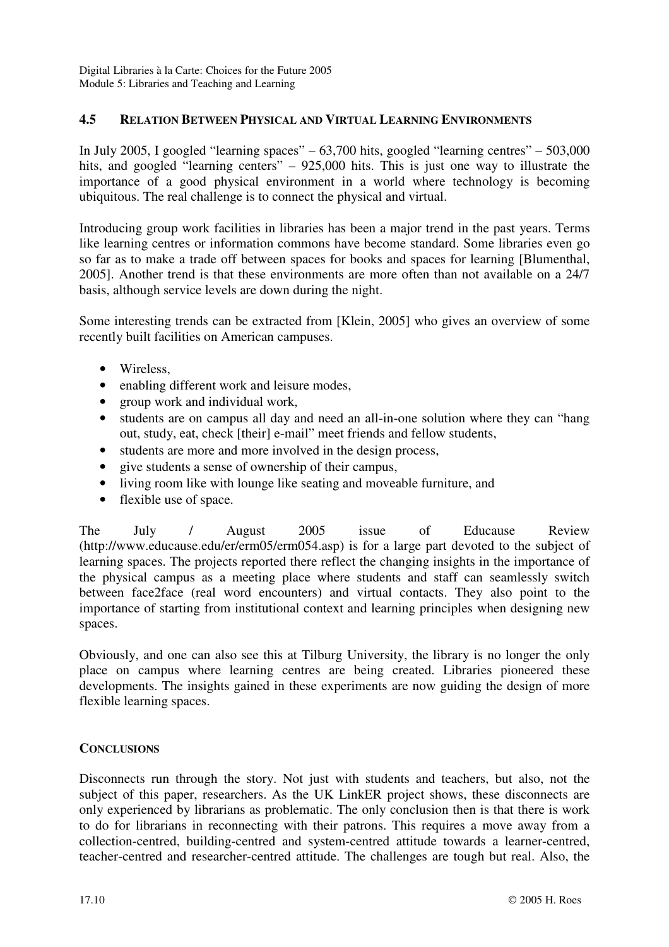### **4.5 RELATION BETWEEN PHYSICAL AND VIRTUAL LEARNING ENVIRONMENTS**

In July 2005, I googled "learning spaces" – 63,700 hits, googled "learning centres" – 503,000 hits, and googled "learning centers" – 925,000 hits. This is just one way to illustrate the importance of a good physical environment in a world where technology is becoming ubiquitous. The real challenge is to connect the physical and virtual.

Introducing group work facilities in libraries has been a major trend in the past years. Terms like learning centres or information commons have become standard. Some libraries even go so far as to make a trade off between spaces for books and spaces for learning [Blumenthal, 2005]. Another trend is that these environments are more often than not available on a 24/7 basis, although service levels are down during the night.

Some interesting trends can be extracted from [Klein, 2005] who gives an overview of some recently built facilities on American campuses.

- Wireless.
- enabling different work and leisure modes,
- group work and individual work,
- students are on campus all day and need an all-in-one solution where they can "hang" out, study, eat, check [their] e-mail" meet friends and fellow students,
- students are more and more involved in the design process,
- give students a sense of ownership of their campus,
- living room like with lounge like seating and moveable furniture, and
- flexible use of space.

The July / August 2005 issue of Educause Review (http://www.educause.edu/er/erm05/erm054.asp) is for a large part devoted to the subject of learning spaces. The projects reported there reflect the changing insights in the importance of the physical campus as a meeting place where students and staff can seamlessly switch between face2face (real word encounters) and virtual contacts. They also point to the importance of starting from institutional context and learning principles when designing new spaces.

Obviously, and one can also see this at Tilburg University, the library is no longer the only place on campus where learning centres are being created. Libraries pioneered these developments. The insights gained in these experiments are now guiding the design of more flexible learning spaces.

#### **CONCLUSIONS**

Disconnects run through the story. Not just with students and teachers, but also, not the subject of this paper, researchers. As the UK LinkER project shows, these disconnects are only experienced by librarians as problematic. The only conclusion then is that there is work to do for librarians in reconnecting with their patrons. This requires a move away from a collection-centred, building-centred and system-centred attitude towards a learner-centred, teacher-centred and researcher-centred attitude. The challenges are tough but real. Also, the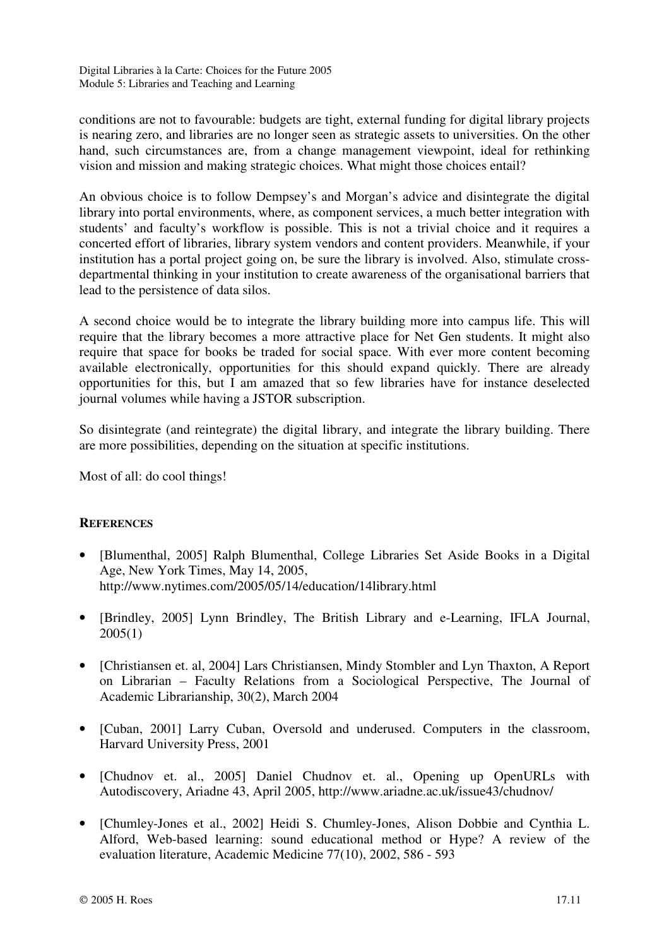conditions are not to favourable: budgets are tight, external funding for digital library projects is nearing zero, and libraries are no longer seen as strategic assets to universities. On the other hand, such circumstances are, from a change management viewpoint, ideal for rethinking vision and mission and making strategic choices. What might those choices entail?

An obvious choice is to follow Dempsey's and Morgan's advice and disintegrate the digital library into portal environments, where, as component services, a much better integration with students' and faculty's workflow is possible. This is not a trivial choice and it requires a concerted effort of libraries, library system vendors and content providers. Meanwhile, if your institution has a portal project going on, be sure the library is involved. Also, stimulate crossdepartmental thinking in your institution to create awareness of the organisational barriers that lead to the persistence of data silos.

A second choice would be to integrate the library building more into campus life. This will require that the library becomes a more attractive place for Net Gen students. It might also require that space for books be traded for social space. With ever more content becoming available electronically, opportunities for this should expand quickly. There are already opportunities for this, but I am amazed that so few libraries have for instance deselected journal volumes while having a JSTOR subscription.

So disintegrate (and reintegrate) the digital library, and integrate the library building. There are more possibilities, depending on the situation at specific institutions.

Most of all: do cool things!

# **REFERENCES**

- [Blumenthal, 2005] Ralph Blumenthal, College Libraries Set Aside Books in a Digital Age, New York Times, May 14, 2005, http://www.nytimes.com/2005/05/14/education/14library.html
- [Brindley, 2005] Lynn Brindley, The British Library and e-Learning, IFLA Journal, 2005(1)
- [Christiansen et. al, 2004] Lars Christiansen, Mindy Stombler and Lyn Thaxton, A Report on Librarian – Faculty Relations from a Sociological Perspective, The Journal of Academic Librarianship, 30(2), March 2004
- [Cuban, 2001] Larry Cuban, Oversold and underused. Computers in the classroom, Harvard University Press, 2001
- [Chudnov et. al., 2005] Daniel Chudnov et. al., Opening up OpenURLs with Autodiscovery, Ariadne 43, April 2005, http://www.ariadne.ac.uk/issue43/chudnov/
- [Chumley-Jones et al., 2002] Heidi S. Chumley-Jones, Alison Dobbie and Cynthia L. Alford, Web-based learning: sound educational method or Hype? A review of the evaluation literature, Academic Medicine 77(10), 2002, 586 - 593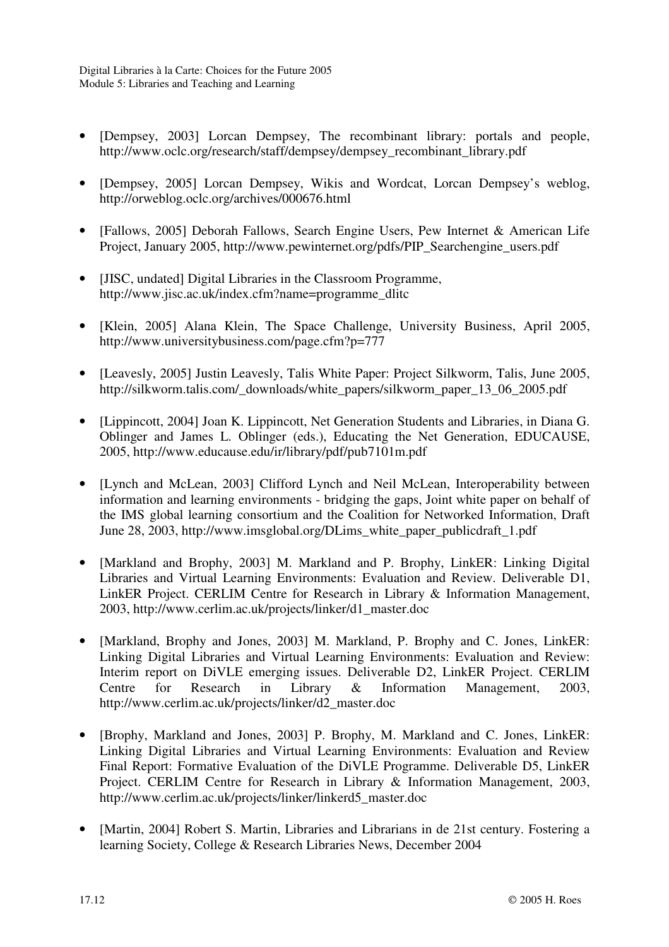- [Dempsey, 2003] Lorcan Dempsey, The recombinant library: portals and people, http://www.oclc.org/research/staff/dempsey/dempsey\_recombinant\_library.pdf
- [Dempsey, 2005] Lorcan Dempsey, Wikis and Wordcat, Lorcan Dempsey's weblog, http://orweblog.oclc.org/archives/000676.html
- [Fallows, 2005] Deborah Fallows, Search Engine Users, Pew Internet & American Life Project, January 2005, http://www.pewinternet.org/pdfs/PIP\_Searchengine\_users.pdf
- [JISC, undated] Digital Libraries in the Classroom Programme, http://www.jisc.ac.uk/index.cfm?name=programme\_dlitc
- [Klein, 2005] Alana Klein, The Space Challenge, University Business, April 2005, http://www.universitybusiness.com/page.cfm?p=777
- [Leavesly, 2005] Justin Leavesly, Talis White Paper: Project Silkworm, Talis, June 2005, http://silkworm.talis.com/\_downloads/white\_papers/silkworm\_paper\_13\_06\_2005.pdf
- [Lippincott, 2004] Joan K. Lippincott, Net Generation Students and Libraries, in Diana G. Oblinger and James L. Oblinger (eds.), Educating the Net Generation, EDUCAUSE, 2005, http://www.educause.edu/ir/library/pdf/pub7101m.pdf
- [Lynch and McLean, 2003] Clifford Lynch and Neil McLean, Interoperability between information and learning environments - bridging the gaps, Joint white paper on behalf of the IMS global learning consortium and the Coalition for Networked Information, Draft June 28, 2003, http://www.imsglobal.org/DLims\_white\_paper\_publicdraft\_1.pdf
- [Markland and Brophy, 2003] M. Markland and P. Brophy, LinkER: Linking Digital Libraries and Virtual Learning Environments: Evaluation and Review. Deliverable D1, LinkER Project. CERLIM Centre for Research in Library & Information Management, 2003, http://www.cerlim.ac.uk/projects/linker/d1\_master.doc
- [Markland, Brophy and Jones, 2003] M. Markland, P. Brophy and C. Jones, LinkER: Linking Digital Libraries and Virtual Learning Environments: Evaluation and Review: Interim report on DiVLE emerging issues. Deliverable D2, LinkER Project. CERLIM Centre for Research in Library & Information Management, 2003, http://www.cerlim.ac.uk/projects/linker/d2\_master.doc
- [Brophy, Markland and Jones, 2003] P. Brophy, M. Markland and C. Jones, LinkER: Linking Digital Libraries and Virtual Learning Environments: Evaluation and Review Final Report: Formative Evaluation of the DiVLE Programme. Deliverable D5, LinkER Project. CERLIM Centre for Research in Library & Information Management, 2003, http://www.cerlim.ac.uk/projects/linker/linkerd5\_master.doc
- [Martin, 2004] Robert S. Martin, Libraries and Librarians in de 21st century. Fostering a learning Society, College & Research Libraries News, December 2004